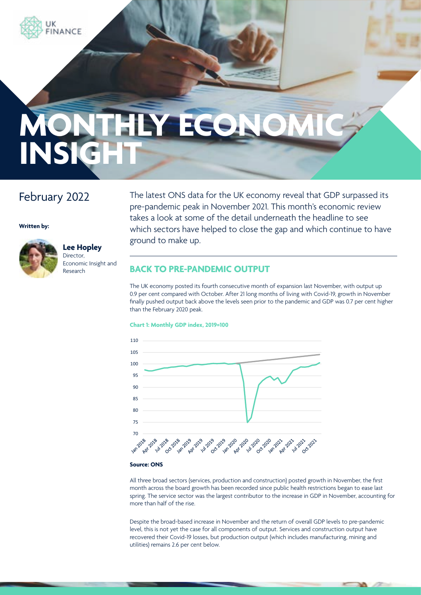

# February 2022

**Written by:**



### **Lee Hopley** Director, Economic Insight and Research

The latest ONS data for the UK economy reveal that GDP surpassed its pre-pandemic peak in November 2021. This month's economic review takes a look at some of the detail underneath the headline to see which sectors have helped to close the gap and which continue to have ground to make up.

# **BACK TO PRE-PANDEMIC OUTPUT**

The UK economy posted its fourth consecutive month of expansion last November, with output up 0.9 per cent compared with October. After 21 long months of living with Covid-19, growth in November finally pushed output back above the levels seen prior to the pandemic and GDP was 0.7 per cent higher than the February 2020 peak.

### **Chart 1: Monthly GDP index, 2019=100**



### **Source: ONS**

All three broad sectors (services, production and construction) posted growth in November, the first month across the board growth has been recorded since public health restrictions began to ease last spring. The service sector was the largest contributor to the increase in GDP in November, accounting for more than half of the rise.

Despite the broad-based increase in November and the return of overall GDP levels to pre-pandemic level, this is not yet the case for all components of output. Services and construction output have recovered their Covid-19 losses, but production output (which includes manufacturing, mining and utilities) remains 2.6 per cent below.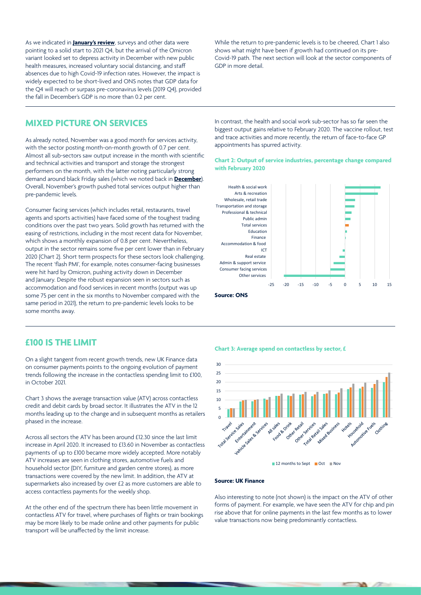As we indicated in **[January's review](https://www.ukfinance.org.uk/system/files/Monthly Economic Insight - January 2022.pdf)**, surveys and other data were pointing to a solid start to 2021 Q4, but the arrival of the Omicron variant looked set to depress activity in December with new public health measures, increased voluntary social distancing, and staff absences due to high Covid-19 infection rates. However, the impact is widely expected to be short-lived and ONS notes that GDP data for the Q4 will reach or surpass pre-coronavirus levels (2019 Q4), provided the fall in December's GDP is no more than 0.2 per cent.

While the return to pre-pandemic levels is to be cheered, Chart 1 also shows what might have been if growth had continued on its pre-Covid-19 path. The next section will look at the sector components of GDP in more detail.

### **MIXED PICTURE ON SERVICES**

As already noted, November was a good month for services activity, with the sector posting month-on-month growth of 0.7 per cent. Almost all sub-sectors saw output increase in the month with scientific and technical activities and transport and storage the strongest performers on the month, with the latter noting particularly strong demand around black Friday sales (which we noted back in **[December](https://www.ukfinance.org.uk/system/files/Monthly Economic Insight - December 2021.pdf)**). Overall, November's growth pushed total services output higher than pre-pandemic levels.

Consumer facing services (which includes retail, restaurants, travel agents and sports activities) have faced some of the toughest trading conditions over the past two years. Solid growth has returned with the easing of restrictions, including in the most recent data for November, which shows a monthly expansion of 0.8 per cent. Nevertheless, output in the sector remains some five per cent lower than in February 2020 (Chart 2). Short term prospects for these sectors look challenging. The recent 'flash PMI', for example, notes consumer-facing businesses were hit hard by Omicron, pushing activity down in December and January. Despite the robust expansion seen in sectors such as accommodation and food services in recent months (output was up some 75 per cent in the six months to November compared with the same period in 2021), the return to pre-pandemic levels looks to be some months away.

In contrast, the health and social work sub-sector has so far seen the biggest output gains relative to February 2020. The vaccine rollout, test and trace activities and more recently, the return of face-to-face GP appointments has spurred activity.

### **Chart 2: Output of service industries, percentage change compared with February 2020**



#### **Source: ONS**

### **£100 IS THE LIMIT**

On a slight tangent from recent growth trends, new UK Finance data on consumer payments points to the ongoing evolution of payment trends following the increase in the contactless spending limit to £100, in October 2021.

Chart 3 shows the average transaction value (ATV) across contactless credit and debit cards by broad sector. It illustrates the ATV in the 12 months leading up to the change and in subsequent months as retailers phased in the increase.

Across all sectors the ATV has been around £12.30 since the last limit increase in April 2020. It increased to £13.60 in November as contactless payments of up to £100 became more widely accepted. More notably ATV increases are seen in clothing stores, automotive fuels and household sector (DIY, furniture and garden centre stores), as more transactions were covered by the new limit. In addition, the ATV at supermarkets also increased by over £2 as more customers are able to access contactless payments for the weekly shop.

At the other end of the spectrum there has been little movement in contactless ATV for travel, where purchases of flights or train bookings may be more likely to be made online and other payments for public transport will be unaffected by the limit increase.

#### **Chart 3: Average spend on contactless by sector, £**



#### **Source: UK Finance**

Also interesting to note (not shown) is the impact on the ATV of other forms of payment. For example, we have seen the ATV for chip and pin rise above that for online payments in the last few months as to lower value transactions now being predominantly contactless.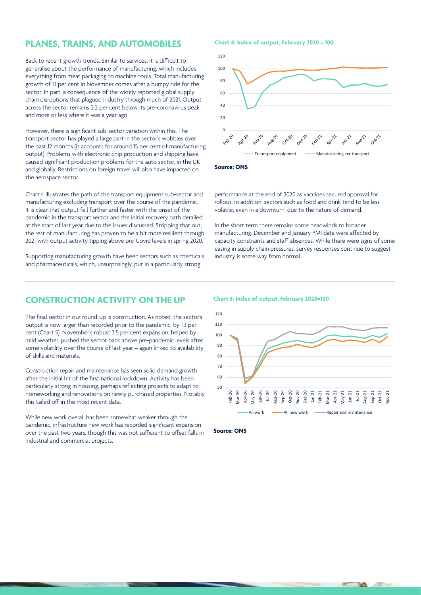## **PLANES, TRAINS, AND AUTOMOBILES**

Back to recent growth trends. Similar to services, it is difficult to generalise about the performance of manufacturing, which includes everything from meat packaging to machine tools. Total manufacturing growth of 1.1 per cent in November comes after a bumpy ride for the sector. In part, a consequence of the widely reported global supply chain disruptions that plagued industry through much of 2021. Output across the sector remains 2.2 per cent below its pre-coronavirus peak and more or less where it was a year ago.

However, there is significant sub-sector variation within this. The transport sector has played a large part in the sector's wobbles over the past 12 months (it accounts for around 15 per cent of manufacturing output). Problems with electronic chip production and shipping have caused significant production problems for the auto sector, in the UK and globally. Restrictions on foreign travel will also have impacted on the aerospace sector.

Chart 4 illustrates the path of the transport equipment sub-sector and manufacturing excluding transport over the course of the pandemic. It is clear that output fell further and faster with the onset of the pandemic in the transport sector and the initial recovery path derailed at the start of last year due to the issues discussed. Stripping that out, the rest of manufacturing has proven to be a bit more resilient through 2021 with output activity tipping above pre-Covid levels in spring 2020.

Supporting manufacturing growth have been sectors such as chemicals and pharmaceuticals, which, unsurprisingly, put in a particularly strong

**Chart 4: Index of output, February 2020 = 100**



**Source: ONS**

performance at the end of 2020 as vaccines secured approval for rollout. In addition, sectors such as food and drink tend to be less volatile, even in a downturn, due to the nature of demand.

In the short term there remains some headwinds to broader manufacturing. December and January PMI data were affected by capacity constraints and staff absences. While there were signs of some easing in supply chain pressures, survey responses continue to suggest industry is some way from normal.

# **CONSTRUCTION ACTIVITY ON THE UP**

The final sector in our round-up is construction. As noted, the sector's output is now larger than recorded prior to the pandemic, by 1.3 per cent (Chart 5). November's robust 3.5 per cent expansion, helped by mild weather, pushed the sector back above pre-pandemic levels after some volatility over the course of last year – again linked to availability of skills and materials.

Construction repair and maintenance has seen solid demand growth after the initial hit of the first national lockdown. Activity has been particularly strong in housing, perhaps reflecting projects to adapt to homeworking and renovations on newly purchased properties. Notably this tailed off in the most recent data.

While new work overall has been somewhat weaker through the pandemic, infrastructure new work has recorded significant expansion over the past two years, though this was not sufficient to offset falls in industrial and commercial projects.

**Chart 5: Index of output, February 2020=100**